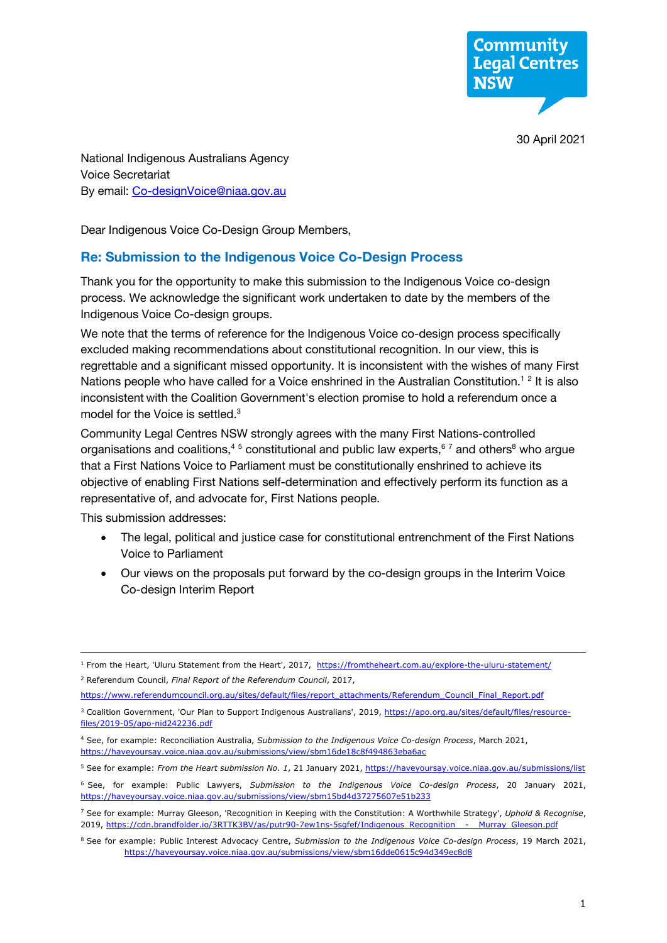**Community Legal Centres NSW** 

30 April 2021

 National Indigenous Australians Agency By email: Co-designVoice@niaa.gov.au Voice Secretariat

Dear Indigenous Voice Co-Design Group Members,

#### **Re: Submission to the Indigenous Voice Co-Design Process**

 process. We acknowledge the significant work undertaken to date by the members of the Thank you for the opportunity to make this submission to the Indigenous Voice co-design Indigenous Voice Co-design groups.

 We note that the terms of reference for the Indigenous Voice co-design process specifically excluded making recommendations about constitutional recognition. In our view, this is regrettable and a significant missed opportunity. It is inconsistent with the wishes of many First Nations people who have called for a Voice enshrined in the Australian Constitution.<sup>12</sup> It is also model for the Voice is settled.<sup>3</sup> inconsistent with the Coalition Government's election promise to hold a referendum once a

 Community Legal Centres NSW strongly agrees with the many First Nations-controlled organisations and coalitions,<sup>45</sup> constitutional and public law experts,<sup>67</sup> and others<sup>8</sup> who argue that a First Nations Voice to Parliament must be constitutionally enshrined to achieve its objective of enabling First Nations self-determination and effectively perform its function as a representative of, and advocate for, First Nations people.

This submission addresses:

- The legal, political and justice case for constitutional entrenchment of the First Nations Voice to Parliament
- Our views on the proposals put forward by the co-design groups in the Interim Voice Co-design Interim Report

https://www.referendumcouncil.org.au/sites/default/files/report\_attachments/Referendum\_Council\_Final\_Report.pdf

<sup>&</sup>lt;sup>1</sup> From the Heart, 'Uluru Statement from the Heart', 2017, https://fromtheheart.com.au/explore-the-uluru-statement/ <sup>2</sup> Referendum Council, *Final Report of the Referendum Council*, 2017,

<sup>&</sup>lt;u>https://www.referendumcouncil.org.au/sites/default/files/report\_attachments/Referendum\_Council\_Final\_Report.pdf</u><br><sup>3</sup> Coalition Government, 'Our Plan to Support Indigenous Australians', 2019, <u>https://apo.org.au/sites/defa</u> files/2019-05/apo-nid242236.pdf <u>files/2019-05/apo-nid242236.pdf</u><br><sup>4</sup> See, for example: Reconciliation Australia, *Submission to the Indigenous Voice Co-design Process*, March 2021,

https://hayeyoursay.yoice.niaa.gov.au/submissions/view/sbm16de18c8f494863eba6ac

<sup>&</sup>lt;u>https://haveyoursay.voice.niaa.gov.au/submissions/view/sbm16de18c8f494863eba6ac</u><br><sup>5</sup> See for example: *From the Heart submission No. 1*, 21 January 2021, <u>https://haveyoursay.voice.niaa.gov.au/submissions/list</u>

 <sup>6</sup> See, for example: Public Lawyers, *Submission to the Indigenous Voice Co-design Process*, 20 January 2021, https://haveyoursay.voice.niaa.gov.au/submissions/view/sbm15bd4d37275607e51b233

<sup>&</sup>lt;u>https://haveyoursay.voice.niaa.gov.au/submissions/view/sbm15bd4d37275607e51b233</u><br><sup>7</sup> See for example: Murray Gleeson, 'Recognition in Keeping with the Constitution: A Worthwhile Strategy', *Uphold & Recognise*, 2019, https://cdn.brandfolder.io/3RTTK3BV/as/putr90-7ew1ns-5sgfef/Indigenous Recognition - Murray Gleeson.pdf 2019, <u>https://cdn.brandfolder.io/3RTTK3BV/as/putr90-7ew1ns-5sqfef/Indigenous\_Recognition\_\_-\_\_Murray\_Gleeson.pdf<br><sup>8</sup> See for example: Public Interest Advocacy Centre, *Submission to the Indigenous Voice Co-design Process*,</u>

https://haveyoursay.voice.niaa.gov.au/submissions/view/sbm16dde0615c94d349ec8d8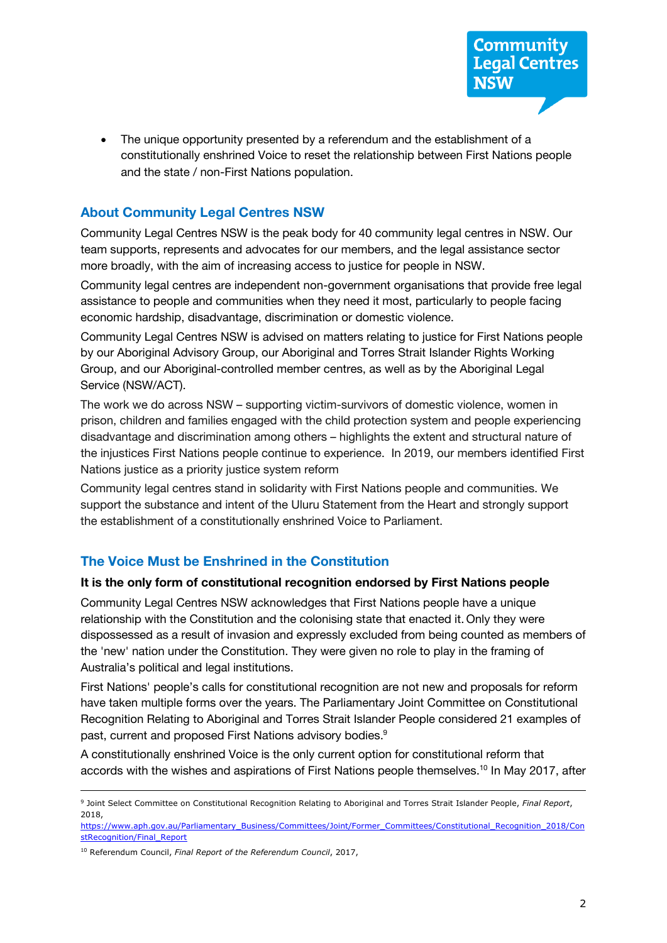constitutionally enshrined Voice to reset the relationship between First Nations people and the state / non-First Nations population. • The unique opportunity presented by a referendum and the establishment of a

# **About Community Legal Centres NSW**

 Community Legal Centres NSW is the peak body for 40 community legal centres in NSW. Our more broadly, with the aim of increasing access to justice for people in NSW. team supports, represents and advocates for our members, and the legal assistance sector

 Community legal centres are independent non-government organisations that provide free legal assistance to people and communities when they need it most, particularly to people facing economic hardship, disadvantage, discrimination or domestic violence.

 Community Legal Centres NSW is advised on matters relating to justice for First Nations people by our Aboriginal Advisory Group, our Aboriginal and Torres Strait Islander Rights Working Group, and our Aboriginal-controlled member centres, as well as by the Aboriginal Legal Service (NSW/ACT).

 The work we do across NSW – supporting victim-survivors of domestic violence, women in disadvantage and discrimination among others – highlights the extent and structural nature of the injustices First Nations people continue to experience. In 2019, our members identified First Nations justice as a priority justice system reform prison, children and families engaged with the child protection system and people experiencing

 Community legal centres stand in solidarity with First Nations people and communities. We support the substance and intent of the Uluru Statement from the Heart and strongly support the establishment of a constitutionally enshrined Voice to Parliament.

# **The Voice Must be Enshrined in the Constitution**

## **It is the only form of constitutional recognition endorsed by First Nations people**

 Community Legal Centres NSW acknowledges that First Nations people have a unique relationship with the Constitution and the colonising state that enacted it. Only they were dispossessed as a result of invasion and expressly excluded from being counted as members of Australia's political and legal institutions. the 'new' nation under the Constitution. They were given no role to play in the framing of

 First Nations' people's calls for constitutional recognition are not new and proposals for reform Recognition Relating to Aboriginal and Torres Strait Islander People considered 21 examples of past, current and proposed First Nations advisory bodies.<sup>9</sup> have taken multiple forms over the years. The Parliamentary Joint Committee on Constitutional

 A constitutionally enshrined Voice is the only current option for constitutional reform that accords with the wishes and aspirations of First Nations people themselves.<sup>10</sup> In May 2017, after

 <sup>9</sup> Joint Select Committee on Constitutional Recognition Relating to Aboriginal and Torres Strait Islander People, *Final Report*, 2018,

stRecognition/Final\_Report <u>stRecognition/Final\_Report</u><br><sup>10</sup> Referendum Council, *Final Report of the Referendum Council*, 2017, https://www.aph.gov.au/Parliamentary\_Business/Committees/Joint/Former\_Committees/Constitutional\_Recognition\_2018/Con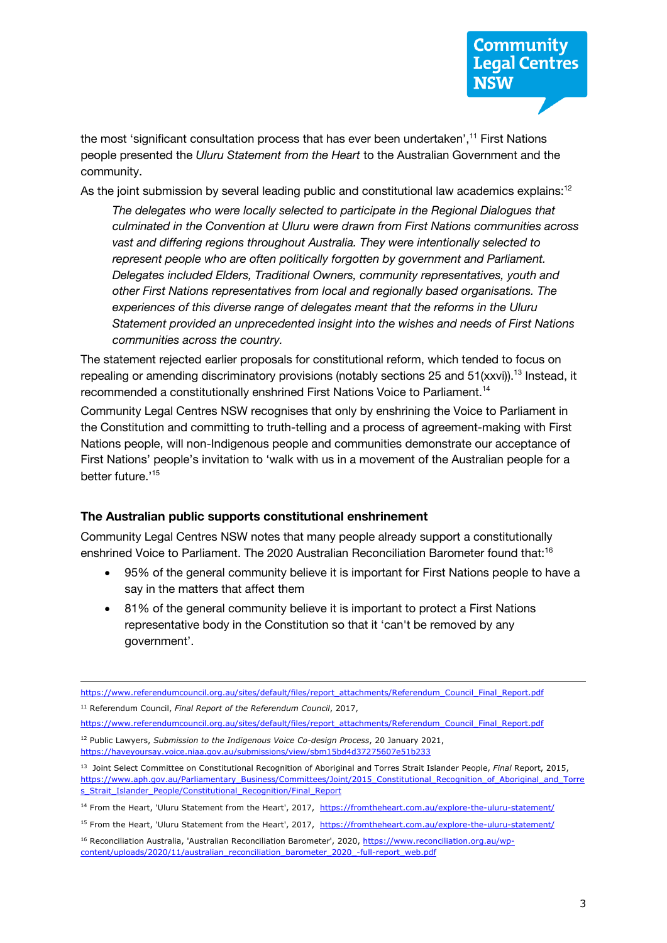the most 'significant consultation process that has ever been undertaken',<sup>11</sup> First Nations  people presented the *Uluru Statement from the Heart* to the Australian Government and the community.

As the joint submission by several leading public and constitutional law academics explains:<sup>12</sup>

 *The delegates who were locally selected to participate in the Regional Dialogues that vast and differing regions throughout Australia. They were intentionally selected to Delegates included Elders, Traditional Owners, community representatives, youth and other First Nations representatives from local and regionally based organisations. The experiences of this diverse range of delegates meant that the reforms in the Uluru Statement provided an unprecedented insight into the wishes and needs of First Nations culminated in the Convention at Uluru were drawn from First Nations communities across represent people who are often politically forgotten by government and Parliament. communities across the country.* 

 The statement rejected earlier proposals for constitutional reform, which tended to focus on recommended a constitutionally enshrined First Nations Voice to Parliament.<sup>14</sup> repealing or amending discriminatory provisions (notably sections 25 and 51(xxvi)).<sup>13</sup> Instead, it

 Community Legal Centres NSW recognises that only by enshrining the Voice to Parliament in the Constitution and committing to truth-telling and a process of agreement-making with First Nations people, will non-Indigenous people and communities demonstrate our acceptance of First Nations' people's invitation to 'walk with us in a movement of the Australian people for a better future.'<sup>15</sup>

#### **The Australian public supports constitutional enshrinement**

 Community Legal Centres NSW notes that many people already support a constitutionally enshrined Voice to Parliament. The 2020 Australian Reconciliation Barometer found that:16

- 95% of the general community believe it is important for First Nations people to have a say in the matters that affect them
- 81% of the general community believe it is important to protect a First Nations representative body in the Constitution so that it 'can't be removed by any government'.

https://www.referendumcouncil.org.au/sites/default/files/report\_attachments/Referendum\_Council\_Final\_Report.pdf<br><sup>11</sup> Referendum Council, *Final Report of the Referendum Council*, 2017, <sup>11</sup> Referendum Council, Final Report of the Referendum Council, 2017,

https://www.referendumcouncil.org.au/sites/default/files/report\_attachments/Referendum\_Council\_Final\_Report.pdf https://www.referendumcouncil.org.au/sites/default/files/report\_attachments/Referendum\_Council\_Final\_Report.pdf 12 Public Lawyers, *Submission to the Indigenous Voice Co-design Process*, 20 January 2021,

https://haveyoursay.voice.niaa.gov.au/submissions/view/sbm15bd4d37275607e51b233

 <sup>13</sup> Joint Select Committee on Constitutional Recognition of Aboriginal and Torres Strait Islander People, *Final* Report, 2015, s Strait Islander People/Constitutional Recognition/Final Report https://www.aph.gov.au/Parliamentary\_Business/Committees/Joint/2015\_Constitutional\_Recognition\_of\_Aboriginal\_and\_Torre

<sup>&</sup>lt;u>s\_Strait\_Islander\_People/Constitutional\_Recognition/Final\_Report</u><br><sup>14</sup> From the Heart, 'Uluru Statement from the Heart', 2017, https://fromtheheart.com.au/explore-the-uluru-statement/

<sup>&</sup>lt;sup>15</sup> From the Heart, 'Uluru Statement from the Heart', 2017, https://fromtheheart.com.au/explore-the-uluru-statement/

<sup>&</sup>lt;sup>16</sup> Reconciliation Australia, 'Australian Reconciliation Barometer', 2020, https://www.reconciliation.org.au/wpcontent/uploads/2020/11/australian\_reconciliation\_barometer\_2020\_-full-report\_web.pdf content/uploads/2020/11/australian\_reconciliation\_barometer\_2020\_-full-report\_web.pdf<br>  $3$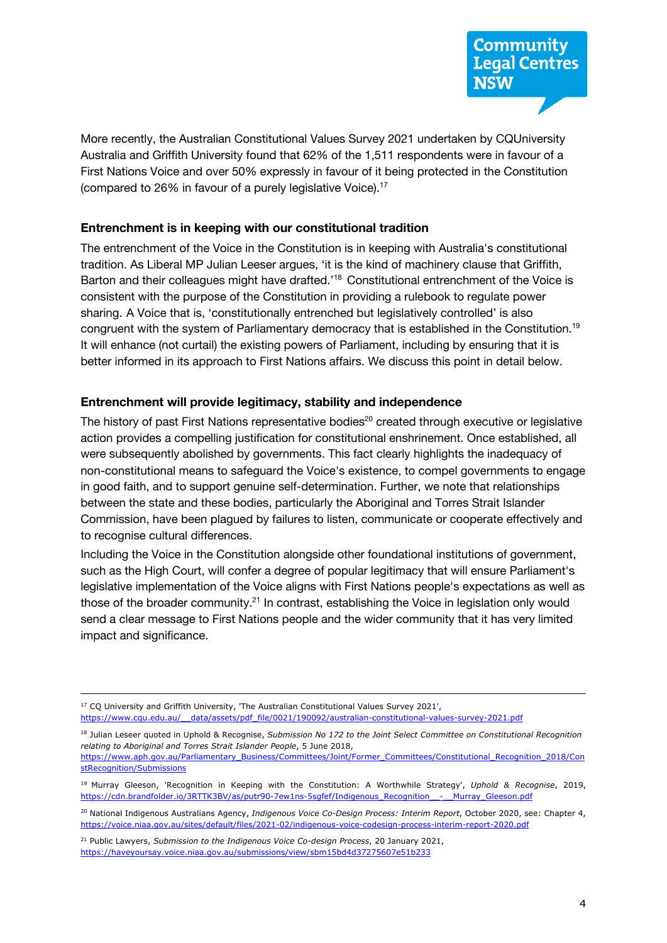More recently, the Australian Constitutional Values Survey 2021 undertaken by CQUniversity Australia and Griffith University found that 62% of the 1,511 respondents were in favour of a First Nations Voice and over 50% expressly in favour of it being protected in the Constitution (compared to 26% in favour of a purely legislative Voice).<sup>17</sup>

#### **Entrenchment is in keeping with our constitutional tradition**

 The entrenchment of the Voice in the Constitution is in keeping with Australia's constitutional tradition. As Liberal MP Julian Leeser argues, 'it is the kind of machinery clause that Griffith, Barton and their colleagues might have drafted.<sup>18</sup> Constitutional entrenchment of the Voice is sharing. A Voice that is, 'constitutionally entrenched but legislatively controlled' is also congruent with the system of Parliamentary democracy that is established in the Constitution.<sup>19</sup> better informed in its approach to First Nations affairs. We discuss this point in detail below. consistent with the purpose of the Constitution in providing a rulebook to regulate power It will enhance (not curtail) the existing powers of Parliament, including by ensuring that it is

#### **Entrenchment will provide legitimacy, stability and independence**

The history of past First Nations representative bodies<sup>20</sup> created through executive or legislative action provides a compelling justification for constitutional enshrinement. Once established, all Commission, have been plagued by failures to listen, communicate or cooperate effectively and were subsequently abolished by governments. This fact clearly highlights the inadequacy of non-constitutional means to safeguard the Voice's existence, to compel governments to engage in good faith, and to support genuine self-determination. Further, we note that relationships between the state and these bodies, particularly the Aboriginal and Torres Strait Islander to recognise cultural differences.

 such as the High Court, will confer a degree of popular legitimacy that will ensure Parliament's send a clear message to First Nations people and the wider community that it has very limited Including the Voice in the Constitution alongside other foundational institutions of government, legislative implementation of the Voice aligns with First Nations people's expectations as well as those of the broader community.<sup>21</sup> In contrast, establishing the Voice in legislation only would impact and significance.

<sup>&</sup>lt;sup>17</sup> CQ University and Griffith University, 'The Australian Constitutional Values Survey 2021', https://www.cqu.edu.au/ data/assets/pdf file/0021/190092/australian-constitutional-values-survey-2021.pdf

https://www.cqu.edu.au/\_\_data/assets/pdf\_file/0021/190092/australian-constitutional-values-survey-2021.pdf<br><sup>18</sup> Julian Leseer quoted in Uphold & Recognise, *Submission No 172 to the Joint Select Committee on Constitutional relating to Aboriginal and Torres Strait Islander People*, 5 June 2018,

https://www.aph.gov.au/Parliamentary\_Business/Committees/Joint/Former\_Committees/Constitutional\_Recognition\_2018/Con

<sup>&</sup>lt;u>stRecognition/Submissions</u><br><sup>19</sup> Murray Gleeson, 'Recognition in Keeping with the Constitution: A Worthwhile Strategy', *Uphold & Recognise*, 2019, https://cdn.brandfolder.io/3RTTK3BV/as/putr90-7ew1ns-5sgfef/Indigenous\_Recognition\_-\_\_Murray\_Gleeson.pdf

 <sup>20</sup> National Indigenous Australians Agency, *Indigenous Voice Co-Design Process: Interim Report*, October 2020, see: Chapter 4, <u>https://voice.niaa.gov.au/sites/default/files/2021-02/indigenous-voice-codesign-process-interim-report-2020.pdf</u><br><sup>21</sup> Public Lawyers, *Submission to the Indigenous Voice Co-design Process*, 20 January 2021,

https://haveyoursay.voice.niaa.gov.au/submissions/view/sbm15bd4d37275607e51b233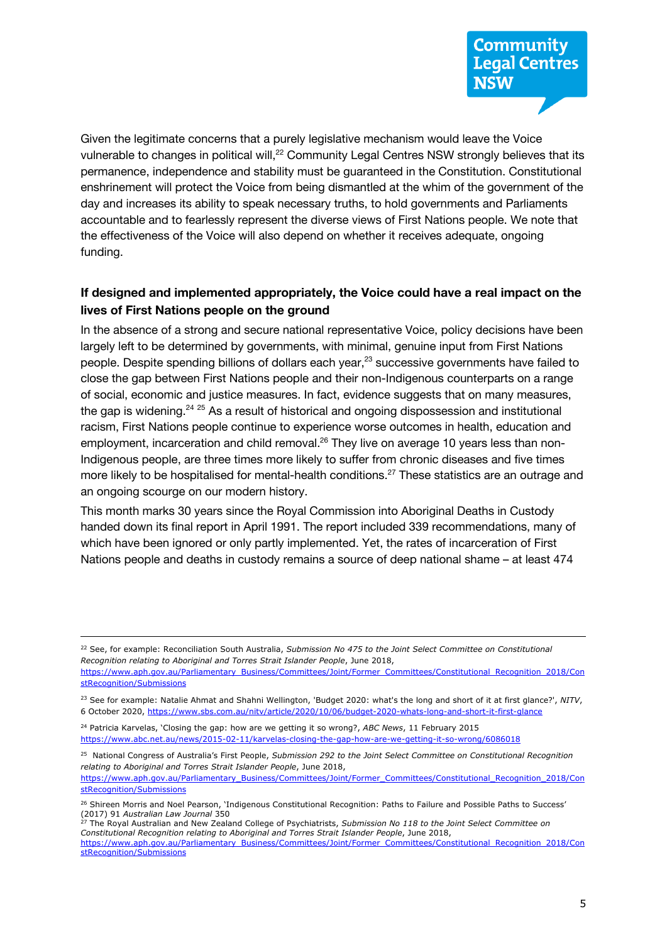Given the legitimate concerns that a purely legislative mechanism would leave the Voice vulnerable to changes in political will,<sup>22</sup> Community Legal Centres NSW strongly believes that its permanence, independence and stability must be guaranteed in the Constitution. Constitutional enshrinement will protect the Voice from being dismantled at the whim of the government of the day and increases its ability to speak necessary truths, to hold governments and Parliaments accountable and to fearlessly represent the diverse views of First Nations people. We note that the effectiveness of the Voice will also depend on whether it receives adequate, ongoing funding.

## **If designed and implemented appropriately, the Voice could have a real impact on the lives of First Nations people on the ground**

 In the absence of a strong and secure national representative Voice, policy decisions have been largely left to be determined by governments, with minimal, genuine input from First Nations people. Despite spending billions of dollars each year,<sup>23</sup> successive governments have failed to close the gap between First Nations people and their non-Indigenous counterparts on a range of social, economic and justice measures. In fact, evidence suggests that on many measures, the gap is widening.<sup>24 25</sup> As a result of historical and ongoing dispossession and institutional employment, incarceration and child removal.<sup>26</sup> They live on average 10 years less than nonmore likely to be hospitalised for mental-health conditions.<sup>27</sup> These statistics are an outrage and racism, First Nations people continue to experience worse outcomes in health, education and Indigenous people, are three times more likely to suffer from chronic diseases and five times an ongoing scourge on our modern history.

 This month marks 30 years since the Royal Commission into Aboriginal Deaths in Custody handed down its final report in April 1991. The report included 339 recommendations, many of which have been ignored or only partly implemented. Yet, the rates of incarceration of First Nations people and deaths in custody remains a source of deep national shame – at least 474

 <sup>25</sup> National Congress of Australia's First People, *Submission 292 to the Joint Select Committee on Constitutional Recognition relating to Aboriginal and Torres Strait Islander People*, June 2018,

https://www.aph.gov.au/Parliamentary\_Business/Committees/Joint/Former\_Committees/Constitutional\_Recognition\_2018/Con stRecognition/Submissions

 <sup>22</sup> See, for example: Reconciliation South Australia, *Submission No 475 to the Joint Select Committee on Constitutional Recognition relating to Aboriginal and Torres Strait Islander People*, June 2018,

https://www.aph.gov.au/Parliamentary\_Business/Committees/Joint/Former\_Committees/Constitutional\_Recognition\_2018/Con

<sup>&</sup>lt;u>stRecognition/Submissions</u><br><sup>23</sup> See for example: Natalie Ahmat and Shahni Wellington, 'Budget 2020: what's the long and short of it at first glance?', *NITV*, 6 October 2020, https://www.sbs.com.au/nitv/article/2020/10/06/budget-2020-whats-long-and-short-it-first-glance

 <sup>24</sup> Patricia Karvelas, 'Closing the gap: how are we getting it so wrong?, *ABC News*, 11 February 2015 https://www.abc.net.au/news/2015-02-11/karvelas-closing-the-gap-how-are-we-getting-it-so-wrong/6086018

<sup>&</sup>lt;sup>26</sup> Shireen Morris and Noel Pearson, 'Indigenous Constitutional Recognition: Paths to Failure and Possible Paths to Success'  (2017) 91 *Australian Law Journal* 350 <sup>27</sup> The Royal Australian and New Zealand College of Psychiatrists, *Submission No 118 to the Joint Select Committee on*

 *Constitutional Recognition relating to Aboriginal and Torres Strait Islander People*, June 2018, https://www.aph.gov.au/Parliamentary\_Business/Committees/Joint/Former\_Committees/Constitutional\_Recognition\_2018/Con stRecognition/Submissions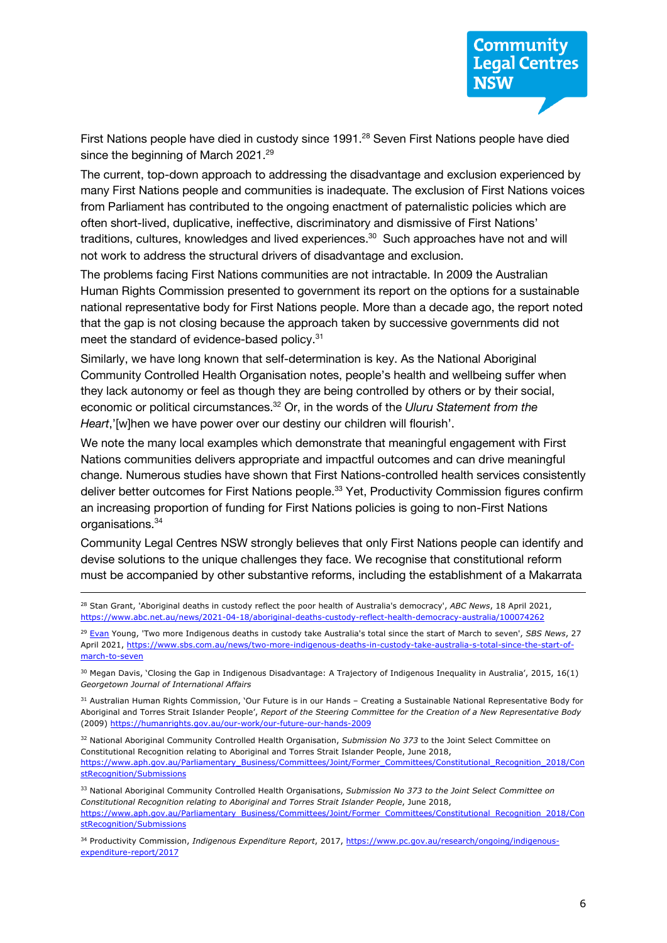First Nations people have died in custody since 1991.<sup>28</sup> Seven First Nations people have died since the beginning of March 2021.<sup>29</sup>

 many First Nations people and communities is inadequate. The exclusion of First Nations voices from Parliament has contributed to the ongoing enactment of paternalistic policies which are often short-lived, duplicative, ineffective, discriminatory and dismissive of First Nations' traditions, cultures, knowledges and lived experiences. 30 Such approaches have not and will The current, top-down approach to addressing the disadvantage and exclusion experienced by not work to address the structural drivers of disadvantage and exclusion.

 The problems facing First Nations communities are not intractable. In 2009 the Australian Human Rights Commission presented to government its report on the options for a sustainable national representative body for First Nations people. More than a decade ago, the report noted that the gap is not closing because the approach taken by successive governments did not meet the standard of evidence-based policy.<sup>31</sup>

 Similarly, we have long known that self-determination is key. As the National Aboriginal Community Controlled Health Organisation notes, people's health and wellbeing suffer when economic or political circumstances.32 Or, in the words of the *Uluru Statement from the*  they lack autonomy or feel as though they are being controlled by others or by their social, *Heart*,'[w]hen we have power over our destiny our children will flourish'.

 We note the many local examples which demonstrate that meaningful engagement with First Nations communities delivers appropriate and impactful outcomes and can drive meaningful change. Numerous studies have shown that First Nations-controlled health services consistently deliver better outcomes for First Nations people.<sup>33</sup> Yet, Productivity Commission figures confirm an increasing proportion of funding for First Nations policies is going to non-First Nations organisations.<sup>34</sup>

 Community Legal Centres NSW strongly believes that only First Nations people can identify and devise solutions to the unique challenges they face. We recognise that constitutional reform must be accompanied by other substantive reforms, including the establishment of a Makarrata

 <sup>28</sup> Stan Grant, 'Aboriginal deaths in custody reflect the poor health of Australia's democracy', *ABC News*, 18 April 2021, https://www.abc.net.au/news/2021-04-18/aboriginal-deaths-custody-reflect-health-democracy-australia/100074262

 <sup>29</sup> Evan Young, 'Two more Indigenous deaths in custody take Australia's total since the start of March to seven', *SBS News*, 27 April 2021, https://www.sbs.com.au/news/two-more-indigenous-deaths-in-custody-take-australia-s-total-since-the-start-ofmarch-to-seven

<u>march-to-seven</u><br><sup>30</sup> Megan Davis, 'Closing the Gap in Indigenous Disadvantage: A Trajectory of Indigenous Inequality in Australia', 2015, 16(1)  *Georgetown Journal of International Affairs* 

<sup>31</sup> Australian Human Rights Commission, `Our Future is in our Hands – Creating a Sustainable National Representative Body for Aboriginal and Torres Strait Islander People', *Report of the Steering Committee for the Creation of a New Representative Body*  (2009) https://humanrights.gov.au/our-work/our-future-our-hands-2009

(2009) <u>https://humanrights.gov.au/our-work/our-future-our-hands-2009</u><br><sup>32</sup> National Aboriginal Community Controlled Health Organisation, *Submission No 373* to the Joint Select Committee on Constitutional Recognition relating to Aboriginal and Torres Strait Islander People, June 2018, https://www.aph.gov.au/Parliamentary\_Business/Committees/Joint/Former\_Committees/Constitutional\_Recognition\_2018/Con stRecognition/Submissions

 <sup>33</sup> National Aboriginal Community Controlled Health Organisations, *Submission No 373 to the Joint Select Committee on Constitutional Recognition relating to Aboriginal and Torres Strait Islander People*, June 2018, stRecognition/Submissions https://www.aph.gov.au/Parliamentary\_Business/Committees/Joint/Former\_Committees/Constitutional\_Recognition\_2018/Con

expenditure-report/2017 34 Productivity Commission, *Indigenous Expenditure Report*, 2017, https://www.pc.gov.au/research/ongoing/indigenousexpenditure-report/2017<br>6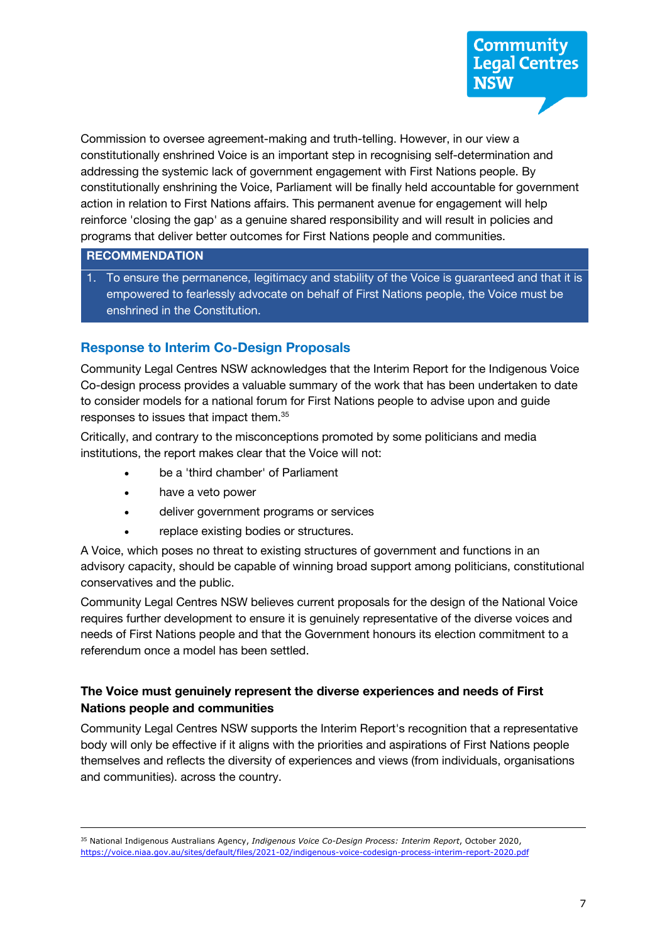Commission to oversee agreement-making and truth-telling. However, in our view a addressing the systemic lack of government engagement with First Nations people. By constitutionally enshrining the Voice, Parliament will be finally held accountable for government action in relation to First Nations affairs. This permanent avenue for engagement will help programs that deliver better outcomes for First Nations people and communities. constitutionally enshrined Voice is an important step in recognising self-determination and reinforce 'closing the gap' as a genuine shared responsibility and will result in policies and

#### **RECOMMENDATION**

 1. To ensure the permanence, legitimacy and stability of the Voice is guaranteed and that it is empowered to fearlessly advocate on behalf of First Nations people, the Voice must be enshrined in the Constitution.

## **Response to Interim Co-Design Proposals**

 Community Legal Centres NSW acknowledges that the Interim Report for the Indigenous Voice Co-design process provides a valuable summary of the work that has been undertaken to date to consider models for a national forum for First Nations people to advise upon and guide responses to issues that impact them.35

 Critically, and contrary to the misconceptions promoted by some politicians and media institutions, the report makes clear that the Voice will not:

- be a 'third chamber' of Parliament
- have a veto power
- deliver government programs or services
- replace existing bodies or structures.

 A Voice, which poses no threat to existing structures of government and functions in an advisory capacity, should be capable of winning broad support among politicians, constitutional conservatives and the public.

 Community Legal Centres NSW believes current proposals for the design of the National Voice needs of First Nations people and that the Government honours its election commitment to a requires further development to ensure it is genuinely representative of the diverse voices and referendum once a model has been settled.

## **The Voice must genuinely represent the diverse experiences and needs of First Nations people and communities**

 Community Legal Centres NSW supports the Interim Report's recognition that a representative body will only be effective if it aligns with the priorities and aspirations of First Nations people themselves and reflects the diversity of experiences and views (from individuals, organisations and communities). across the country.

 <sup>35</sup> National Indigenous Australians Agency, *Indigenous Voice Co-Design Process: Interim Report*, October 2020, https://voice.niaa.gov.au/sites/default/files/2021-02/indigenous-voice-codesign-process-interim-report-2020.pdf 7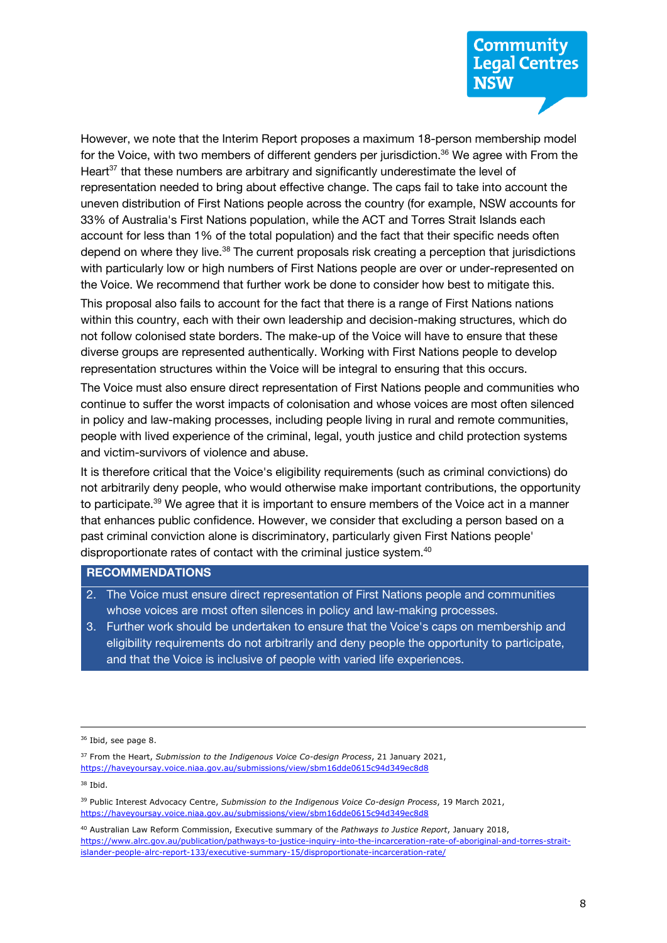# **Community Legal Centres NSW**

 However, we note that the Interim Report proposes a maximum 18-person membership model for the Voice, with two members of different genders per jurisdiction.<sup>36</sup> We agree with From the uneven distribution of First Nations people across the country (for example, NSW accounts for 33% of Australia's First Nations population, while the ACT and Torres Strait Islands each account for less than 1% of the total population) and the fact that their specific needs often depend on where they live.<sup>38</sup> The current proposals risk creating a perception that jurisdictions with particularly low or high numbers of First Nations people are over or under-represented on Heart<sup>37</sup> that these numbers are arbitrary and significantly underestimate the level of representation needed to bring about effective change. The caps fail to take into account the the Voice. We recommend that further work be done to consider how best to mitigate this.

 This proposal also fails to account for the fact that there is a range of First Nations nations within this country, each with their own leadership and decision-making structures, which do diverse groups are represented authentically. Working with First Nations people to develop not follow colonised state borders. The make-up of the Voice will have to ensure that these representation structures within the Voice will be integral to ensuring that this occurs.

 continue to suffer the worst impacts of colonisation and whose voices are most often silenced in policy and law-making processes, including people living in rural and remote communities, The Voice must also ensure direct representation of First Nations people and communities who people with lived experience of the criminal, legal, youth justice and child protection systems and victim-survivors of violence and abuse.

 not arbitrarily deny people, who would otherwise make important contributions, the opportunity to participate.<sup>39</sup> We agree that it is important to ensure members of the Voice act in a manner past criminal conviction alone is discriminatory, particularly given First Nations people' disproportionate rates of contact with the criminal justice system.<sup>40</sup> It is therefore critical that the Voice's eligibility requirements (such as criminal convictions) do that enhances public confidence. However, we consider that excluding a person based on a

#### **RECOMMENDATIONS**

- 2. The Voice must ensure direct representation of First Nations people and communities whose voices are most often silences in policy and law-making processes.
- 3. Further work should be undertaken to ensure that the Voice's caps on membership and eligibility requirements do not arbitrarily and deny people the opportunity to participate, and that the Voice is inclusive of people with varied life experiences.

<sup>38</sup> Ibid.

 <sup>36</sup> Ibid, see page 8.

<sup>37</sup> From the Heart, *Submission to the Indigenous Voice Co-design Process*, 21 January 2021, https://haveyoursay.voice.niaa.gov.au/submissions/view/sbm16dde0615c94d349ec8d8

 <sup>39</sup> Public Interest Advocacy Centre, *Submission to the Indigenous Voice Co-design Process*, 19 March 2021, https://haveyoursay.voice.niaa.gov.au/submissions/view/sbm16dde0615c94d349ec8d8

 <sup>40</sup> Australian Law Reform Commission, Executive summary of the *Pathways to Justice Report*, January 2018, islander-people-alrc-report-133/executive-summary-15/disproportionate-incarceration-rate/ https://www.alrc.gov.au/publication/pathways-to-justice-inquiry-into-the-incarceration-rate-of-aboriginal-and-torres-straitislander-people-alrc-report-133/executive-summary-15/disproportionate-incarceration-rate/ 8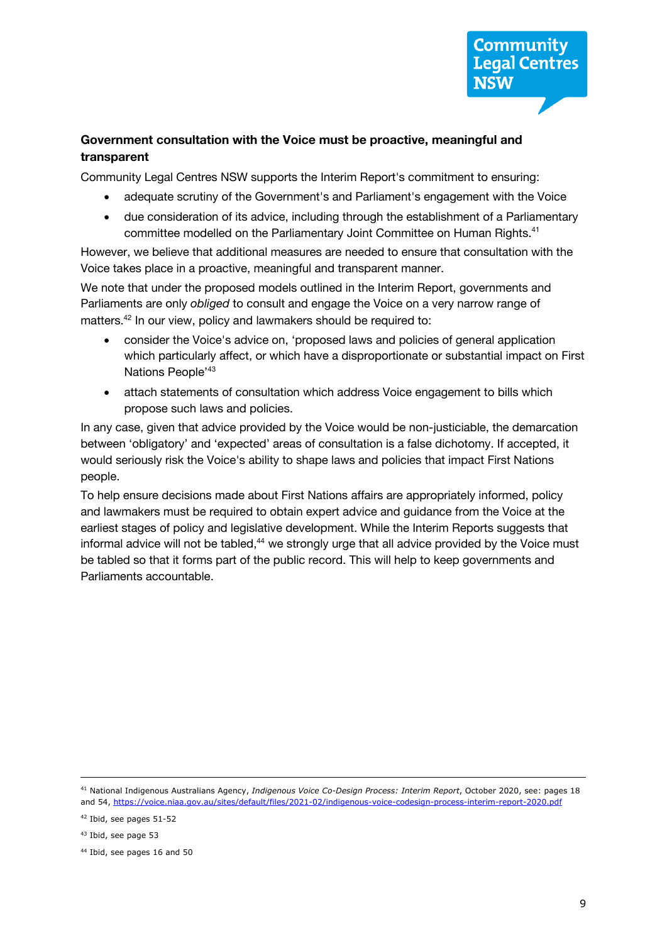# **Government consultation with the Voice must be proactive, meaningful and transparent**

Community Legal Centres NSW supports the Interim Report's commitment to ensuring:

- adequate scrutiny of the Government's and Parliament's engagement with the Voice
- due consideration of its advice, including through the establishment of a Parliamentary committee modelled on the Parliamentary Joint Committee on Human Rights.<sup>41</sup>

 However, we believe that additional measures are needed to ensure that consultation with the Voice takes place in a proactive, meaningful and transparent manner.

 We note that under the proposed models outlined in the Interim Report, governments and Parliaments are only *obliged* to consult and engage the Voice on a very narrow range of matters.<sup>42</sup> In our view, policy and lawmakers should be required to:

- consider the Voice's advice on, 'proposed laws and policies of general application which particularly affect, or which have a disproportionate or substantial impact on First Nations People<sup>'43</sup>
- attach statements of consultation which address Voice engagement to bills which propose such laws and policies.

 between 'obligatory' and 'expected' areas of consultation is a false dichotomy. If accepted, it would seriously risk the Voice's ability to shape laws and policies that impact First Nations In any case, given that advice provided by the Voice would be non-justiciable, the demarcation people.

 To help ensure decisions made about First Nations affairs are appropriately informed, policy and lawmakers must be required to obtain expert advice and guidance from the Voice at the earliest stages of policy and legislative development. While the Interim Reports suggests that informal advice will not be tabled, $44$  we strongly urge that all advice provided by the Voice must be tabled so that it forms part of the public record. This will help to keep governments and Parliaments accountable.

 <sup>41</sup> National Indigenous Australians Agency, *Indigenous Voice Co-Design Process: Interim Report*, October 2020, see: pages 18 and 54, https://voice.niaa.gov.au/sites/default/files/2021-02/indigenous-voice-codesign-process-interim-report-2020.pdf

 <sup>42</sup> Ibid, see pages 51-52

<sup>&</sup>lt;sup>43</sup> Ibid, see page 53

 <sup>44</sup> Ibid, see pages 16 and 50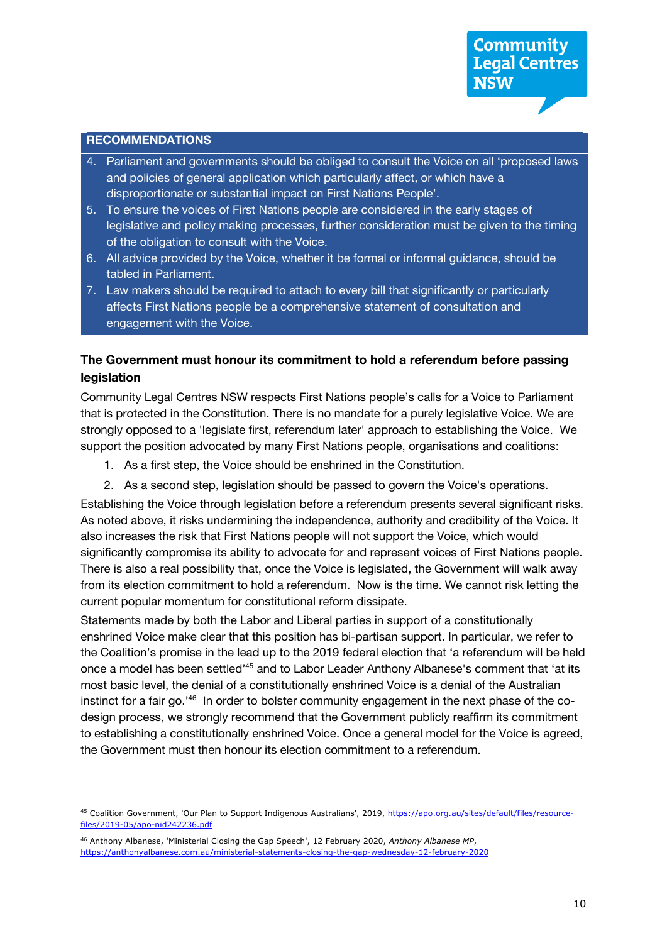#### **RECOMMENDATIONS**

- 4. Parliament and governments should be obliged to consult the Voice on all 'proposed laws and policies of general application which particularly affect, or which have a disproportionate or substantial impact on First Nations People'.
- 5. To ensure the voices of First Nations people are considered in the early stages of legislative and policy making processes, further consideration must be given to the timing of the obligation to consult with the Voice.
- 6. All advice provided by the Voice, whether it be formal or informal guidance, should be tabled in Parliament.
- 7. Law makers should be required to attach to every bill that significantly or particularly affects First Nations people be a comprehensive statement of consultation and engagement with the Voice.

### **The Government must honour its commitment to hold a referendum before passing legislation**

 Community Legal Centres NSW respects First Nations people's calls for a Voice to Parliament strongly opposed to a 'legislate first, referendum later' approach to establishing the Voice. We that is protected in the Constitution. There is no mandate for a purely legislative Voice. We are support the position advocated by many First Nations people, organisations and coalitions:

- 1. As a first step, the Voice should be enshrined in the Constitution.
- 2. As a second step, legislation should be passed to govern the Voice's operations.

 Establishing the Voice through legislation before a referendum presents several significant risks. As noted above, it risks undermining the independence, authority and credibility of the Voice. It also increases the risk that First Nations people will not support the Voice, which would significantly compromise its ability to advocate for and represent voices of First Nations people. There is also a real possibility that, once the Voice is legislated, the Government will walk away current popular momentum for constitutional reform dissipate. from its election commitment to hold a referendum. Now is the time. We cannot risk letting the

 Statements made by both the Labor and Liberal parties in support of a constitutionally enshrined Voice make clear that this position has bi-partisan support. In particular, we refer to the Coalition's promise in the lead up to the 2019 federal election that 'a referendum will be held once a model has been settled<sup>145</sup> and to Labor Leader Anthony Albanese's comment that 'at its most basic level, the denial of a constitutionally enshrined Voice is a denial of the Australian instinct for a fair go.<sup>'46</sup> In order to bolster community engagement in the next phase of the co- to establishing a constitutionally enshrined Voice. Once a general model for the Voice is agreed, the Government must then honour its election commitment to a referendum. design process, we strongly recommend that the Government publicly reaffirm its commitment

<sup>&</sup>lt;sup>45</sup> Coalition Government, 'Our Plan to Support Indigenous Australians', 2019, https://apo.org.au/sites/default/files/resourcefiles/2019-05/apo-nid242236.pdf

 https://anthonyalbanese.com.au/ministerial-statements-closing-the-gap-wednesday-12-february-2020 10 <sup>46</sup> Anthony Albanese, 'Ministerial Closing the Gap Speech', 12 February 2020, Anthony Albanese MP,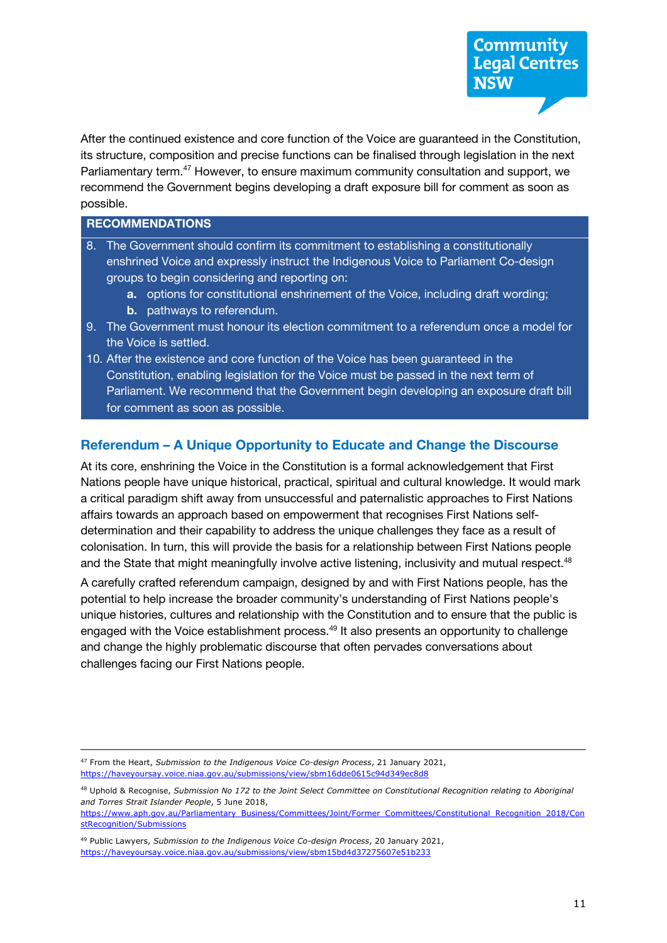Parliamentary term.<sup>47</sup> However, to ensure maximum community consultation and support, we After the continued existence and core function of the Voice are guaranteed in the Constitution, its structure, composition and precise functions can be finalised through legislation in the next recommend the Government begins developing a draft exposure bill for comment as soon as possible.

#### **RECOMMENDATIONS**

- 8. The Government should confirm its commitment to establishing a constitutionally enshrined Voice and expressly instruct the Indigenous Voice to Parliament Co-design groups to begin considering and reporting on:
	- **a.** options for constitutional enshrinement of the Voice, including draft wording;
	- **b.** pathways to referendum.
- 9. The Government must honour its election commitment to a referendum once a model for the Voice is settled.
- 10. After the existence and core function of the Voice has been guaranteed in the Constitution, enabling legislation for the Voice must be passed in the next term of Parliament. We recommend that the Government begin developing an exposure draft bill for comment as soon as possible.

# **Referendum – A Unique Opportunity to Educate and Change the Discourse**

 At its core, enshrining the Voice in the Constitution is a formal acknowledgement that First Nations people have unique historical, practical, spiritual and cultural knowledge. It would mark a critical paradigm shift away from unsuccessful and paternalistic approaches to First Nations determination and their capability to address the unique challenges they face as a result of colonisation. In turn, this will provide the basis for a relationship between First Nations people and the State that might meaningfully involve active listening, inclusivity and mutual respect.<sup>48</sup> affairs towards an approach based on empowerment that recognises First Nations self-

 potential to help increase the broader community's understanding of First Nations people's challenges facing our First Nations people. A carefully crafted referendum campaign, designed by and with First Nations people, has the unique histories, cultures and relationship with the Constitution and to ensure that the public is engaged with the Voice establishment process.<sup>49</sup> It also presents an opportunity to challenge and change the highly problematic discourse that often pervades conversations about

https://www.aph.gov.au/Parliamentary\_Business/Committees/Joint/Former\_Committees/Constitutional\_Recognition\_2018/Con stRecognition/Submissions

<sup>47</sup> From the Heart, *Submission to the Indigenous Voice Co-design Process*, 21 January 2021, https://haveyoursay.voice.niaa.gov.au/submissions/view/sbm16dde0615c94d349ec8d8

 <sup>48</sup> Uphold & Recognise, *Submission No 172 to the Joint Select Committee on Constitutional Recognition relating to Aboriginal and Torres Strait Islander People*, 5 June 2018,

 <sup>49</sup> Public Lawyers, *Submission to the Indigenous Voice Co-design Process*, 20 January 2021, https://haveyoursay.voice.niaa.gov.au/submissions/view/sbm15bd4d37275607e51b233